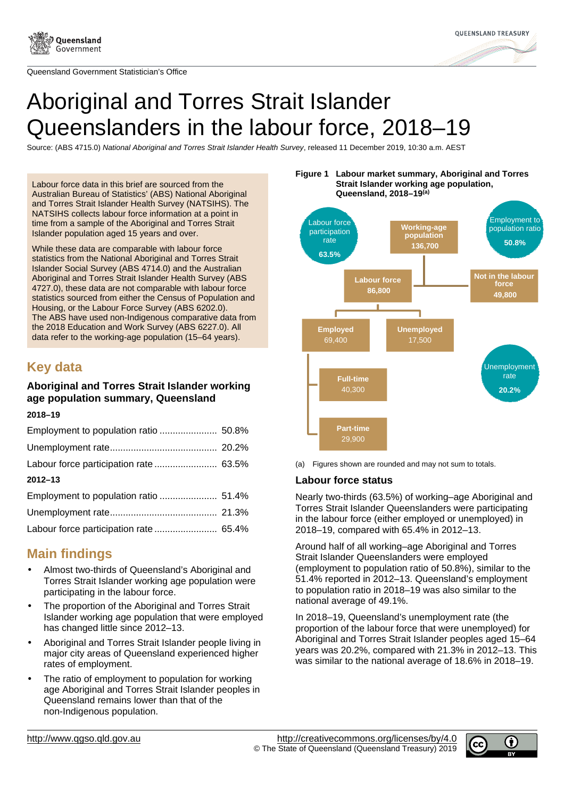

Queensland Government Statistician's Office



# Aboriginal and Torres Strait Islander Queenslanders in the labour force, 2018–19

Source: (ABS 4715.0) National Aboriginal and Torres Strait Islander Health Survey, released 11 December 2019, 10:30 a.m. AEST

Labour force data in this brief are sourced from the Australian Bureau of Statistics' (ABS) National Aboriginal and Torres Strait Islander Health Survey (NATSIHS). The NATSIHS collects labour force information at a point in time from a sample of the Aboriginal and Torres Strait Islander population aged 15 years and over.

While these data are comparable with labour force statistics from the National Aboriginal and Torres Strait Islander Social Survey (ABS 4714.0) and the Australian Aboriginal and Torres Strait Islander Health Survey (ABS 4727.0), these data are not comparable with labour force statistics sourced from either the Census of Population and Housing, or the Labour Force Survey (ABS 6202.0). The ABS have used non-Indigenous comparative data from the 2018 Education and Work Survey (ABS 6227.0). All data refer to the working-age population (15–64 years).

# **Key data**

## **Aboriginal and Torres Strait Islander working age population summary, Queensland**

#### **2018–19**

| $2012 - 13$ |  |
|-------------|--|
|             |  |
|             |  |
|             |  |

## **Main findings**

- Almost two-thirds of Queensland's Aboriginal and Torres Strait Islander working age population were participating in the labour force.
- The proportion of the Aboriginal and Torres Strait Islander working age population that were employed has changed little since 2012–13.
- Aboriginal and Torres Strait Islander people living in major city areas of Queensland experienced higher rates of employment.
- The ratio of employment to population for working age Aboriginal and Torres Strait Islander peoples in Queensland remains lower than that of the non-Indigenous population.





(a) Figures shown are rounded and may not sum to totals.

#### **Labour force status**

Nearly two-thirds (63.5%) of working–age Aboriginal and Torres Strait Islander Queenslanders were participating in the labour force (either employed or unemployed) in 2018–19, compared with 65.4% in 2012–13.

Around half of all working–age Aboriginal and Torres Strait Islander Queenslanders were employed (employment to population ratio of 50.8%), similar to the 51.4% reported in 2012–13. Queensland's employment to population ratio in 2018–19 was also similar to the national average of 49.1%.

In 2018–19, Queensland's unemployment rate (the proportion of the labour force that were unemployed) for Aboriginal and Torres Strait Islander peoples aged 15–64 years was 20.2%, compared with 21.3% in 2012–13. This was similar to the national average of 18.6% in 2018–19.